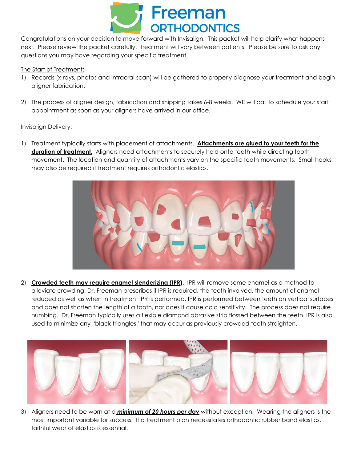

Congratulations on your decision to move forward with Invisalign! This packet will help clarify what happens next. Please review the packet carefully. Treatment will vary between patients. Please be sure to ask any questions you may have regarding your specific treatment.

## The Start of Treatment:

- 1) Records (x-rays, photos and intraoral scan) will be gathered to properly diagnose your treatment and begin aligner fabrication.
- 2) The process of aligner design, fabrication and shipping takes 6-8 weeks. WE will call to schedule your start appointment as soon as your aligners have arrived in our office.

## Invisalign Delivery:

1) Treatment typically starts with placement of attachments. **Attachments are glued to your teeth for the duration of treatment.** Aligners need attachments to securely hold onto teeth while directing tooth movement. The location and quantity of attachments vary on the specific tooth movements. Small hooks may also be required if treatment requires orthodontic elastics.



2) **Crowded teeth may require enamel slenderizing (IPR).** IPR will remove some enamel as a method to alleviate crowding. Dr. Freeman prescribes if IPR is required, the teeth involved, the amount of enamel reduced as well as when in treatment IPR is performed. IPR is performed between teeth on vertical surfaces and does not shorten the length of a tooth, nor does it cause cold sensitivity. The process does not require numbing. Dr. Freeman typically uses a flexible diamond abrasive strip flossed between the teeth. IPR is also used to minimize any "black triangles" that may occur as previously crowded teeth straighten.



3) Aligners need to be worn at a *minimum of 20 hours per day* without exception. Wearing the aligners is the most important variable for success. If a treatment plan necessitates orthodontic rubber band elastics, faithful wear of elastics is essential.